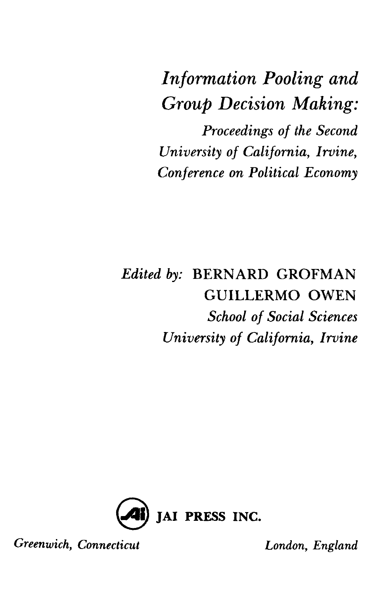## *Information Pooling and Group Decision Making:*

*Proceedings of the Second University of California, Irvine, Conference on Political Economy*

## *Edited by:* BERNARD GROFMAN GUILLERMO OWEN *School of Social Sciences University of California, Irvine*



*Greenwich, Connecticut London, England*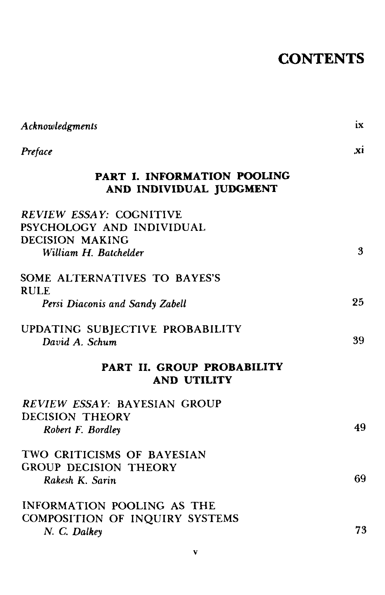## **CONTENTS**

| Acknowledgments                                                         | 1X             |
|-------------------------------------------------------------------------|----------------|
| Preface                                                                 | $\mathbf{x}$ i |
| <b>PART I. INFORMATION POOLING</b><br>AND INDIVIDUAL JUDGMENT           |                |
| REVIEW ESSAY: COGNITIVE<br>PSYCHOLOGY AND INDIVIDUAL<br>DECISION MAKING |                |
| William H. Batchelder                                                   | 3              |
| SOME ALTERNATIVES TO BAYES'S<br><b>RULE</b>                             |                |
| Persi Diaconis and Sandy Zabell                                         | 25             |
| UPDATING SUBJECTIVE PROBABILITY<br>David A. Schum                       | 39             |
| PART II. GROUP PROBABILITY<br><b>AND UTILITY</b>                        |                |
| <b>REVIEW ESSAY: BAYESIAN GROUP</b><br><b>DECISION THEORY</b>           |                |
| Robert F. Bordley                                                       | 49             |
| TWO CRITICISMS OF BAYESIAN<br><b>GROUP DECISION THEORY</b>              |                |
| Rakesh K. Sarin                                                         | 69             |
| INFORMATION POOLING AS THE<br>COMPOSITION OF INQUIRY SYSTEMS            | 73             |
| N. C. Dalkey                                                            |                |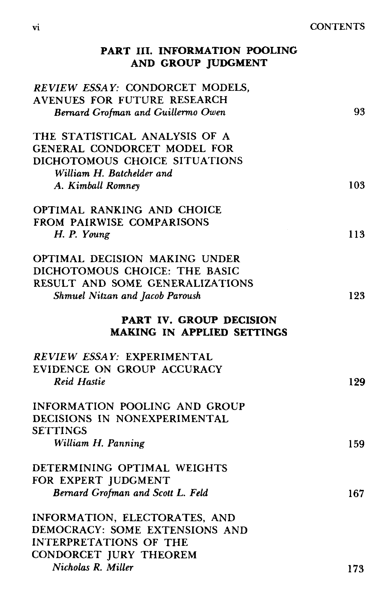vi CONTENTS

| PART III. INFORMATION POOLING<br>AND GROUP JUDGMENT          |     |
|--------------------------------------------------------------|-----|
| REVIEW ESSAY: CONDORCET MODELS,                              |     |
| AVENUES FOR FUTURE RESEARCH                                  |     |
| Bernard Grofman and Guillermo Owen                           | 93  |
| THE STATISTICAL ANALYSIS OF A                                |     |
| <b>GENERAL CONDORCET MODEL FOR</b>                           |     |
| DICHOTOMOUS CHOICE SITUATIONS                                |     |
| William H. Batchelder and                                    |     |
| A. Kimball Romney                                            | 103 |
| OPTIMAL RANKING AND CHOICE                                   |     |
| FROM PAIRWISE COMPARISONS                                    |     |
| H. P. Young                                                  | 113 |
| OPTIMAL DECISION MAKING UNDER                                |     |
| DICHOTOMOUS CHOICE: THE BASIC                                |     |
| RESULT AND SOME GENERALIZATIONS                              |     |
| Shmuel Nitzan and Jacob Paroush                              | 123 |
| PART IV. GROUP DECISION<br><b>MAKING IN APPLIED SETTINGS</b> |     |
| REVIEW ESSAY: EXPERIMENTAL                                   |     |
| EVIDENCE ON GROUP ACCURACY                                   |     |
| <b>Reid Hastie</b>                                           | 129 |
| INFORMATION POOLING AND GROUP                                |     |
| DECISIONS IN NONEXPERIMENTAL                                 |     |
| <b>SETTINGS</b>                                              |     |
| William H. Panning                                           | 159 |
|                                                              |     |
| DETERMINING OPTIMAL WEIGHTS                                  |     |
| FOR EXPERT JUDGMENT                                          |     |
| Bernard Grofman and Scott L. Feld                            | 167 |
| INFORMATION, ELECTORATES, AND                                |     |
| DEMOCRACY: SOME EXTENSIONS AND                               |     |
| <b>INTERPRETATIONS OF THE</b>                                |     |
| CONDORCET JURY THEOREM<br>Nicholas R. Miller                 |     |